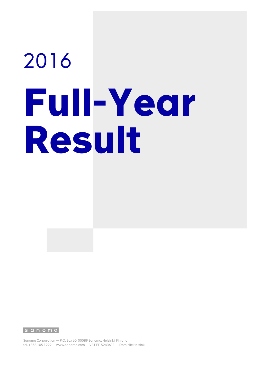# 2016 **Full-Year Result**

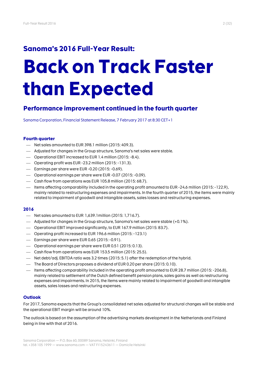# **Sanoma's 2016 Full-Year Result:**

# **Back on Track Faster than Expected**

# **Performance improvement continued in the fourth quarter**

Sanoma Corporation, Financial Statement Release, 7 February 2017 at 8:30 CET+1

# **Fourth quarter**

- Net sales amounted to EUR 398.1 million (2015: 409.3).
- Adjusted for changes in the Group structure, Sanoma's net sales were stable.
- Operational EBIT increased to EUR 1.4 million (2015: -8.4).
- Operating profit was EUR -23.2 million (2015: -131.3).
- Earnings per share were EUR -0.20 (2015: -0.69).
- Operational earnings per share were EUR -0.07 (2015: -0.09).
- Cash flow from operations was EUR 105.8 million (2015: 68.7).
- Items affecting comparability included in the operating profit amounted to EUR -24.6 million (2015: -122.9), mainly related to restructuring expenses and impairments. In the fourth quarter of 2015, the items were mainly related to impairment of goodwill and intangible assets, sales losses and restructuring expenses.

# **2016**

- Net sales amounted to EUR 1,639.1million (2015: 1,716.7).
- $-$  Adjusted for changes in the Group structure, Sanoma's net sales were stable  $(+0.1\%)$ .
- Operational EBIT improved significantly, to EUR 167.9 million (2015: 83.7).
- Operating profit increased to EUR 196.6 million (2015: -123.1)
- $-$  Earnings per share were EUR 0.65 (2015: -0.91).
- Operational earnings per share were EUR 0.51 (2015: 0.13).
- Cash flow from operations was EUR 153.5 million (2015: 25.5).
- Net debt/adj. EBITDA ratio was 3.2 times (2015: 5.1) after the redemption of the hybrid.
- $-$  The Board of Directors proposes a dividend of EUR 0.20 per share (2015: 0.10).
- Items affecting comparability included in the operating profit amounted to EUR 28.7 million (2015: -206.8), mainly related to settlement of the Dutch defined benefit pension plans, sales gains as well as restructuring expenses and impairments. In 2015, the items were mainly related to impairment of goodwill and intangible assets, sales losses and restructuring expenses.

# **Outlook**

For 2017, Sanoma expects that the Group's consolidated net sales adjusted for structural changes will be stable and the operational EBIT margin will be around 10%.

The outlook is based on the assumption of the advertising markets development in the Netherlands and Finland being in line with that of 2016.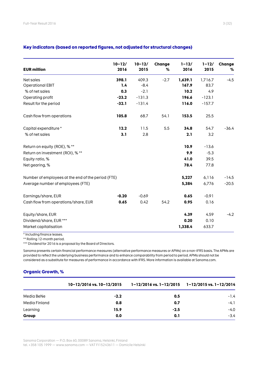| <b>EUR million</b>                                 | $10 - 12/$<br>2016 | $10 - 12/$<br>2015 | Change<br>℅ | $1 - 12/$<br>2016 | $1 - 12/$<br>2015 | Change<br>% |
|----------------------------------------------------|--------------------|--------------------|-------------|-------------------|-------------------|-------------|
| Net sales                                          | 398.1              | 409.3              | $-2.7$      | 1,639.1           | 1,716.7           | $-4.5$      |
| <b>Operational EBIT</b>                            | 1.4                | $-8.4$             |             | 167.9             | 83.7              |             |
| % of net sales                                     | 0.3                | $-2.1$             |             | 10.2              | 4.9               |             |
| Operating profit                                   | $-23.2$            | $-131.3$           |             | 196.6             | $-123.1$          |             |
| Result for the period                              | $-32.1$            | $-131.4$           |             | 116.0             | $-157.7$          |             |
| Cash flow from operations                          | 105.8              | 68.7               | 54.1        | 153.5             | 25.5              |             |
| Capital expenditure *                              | 12.2               | 11.5               | 5.5         | 34.8              | 54.7              | $-36.4$     |
| % of net sales                                     | 3.1                | 2.8                |             | 2.1               | 3.2               |             |
| Return on equity (ROE), % **                       |                    |                    |             | 10.9              | $-13.6$           |             |
| Return on investment (ROI), % **                   |                    |                    |             | 9.9               | $-5.3$            |             |
| Equity ratio, %                                    |                    |                    |             | 41.0              | 39.5              |             |
| Net gearing, %                                     |                    |                    |             | 78.4              | 77.8              |             |
| Number of employees at the end of the period (FTE) |                    |                    |             | 5,227             | 6,116             | $-14.5$     |
| Average number of employees (FTE)                  |                    |                    |             | 5,384             | 6,776             | $-20.5$     |
| Earnings/share, EUR                                | $-0.20$            | $-0.69$            |             | 0.65              | $-0.91$           |             |
| Cash flow from operations/share, EUR               | 0.65               | 0.42               | 54.2        | 0.95              | 0.16              |             |
| Equity/share, EUR                                  |                    |                    |             | 4.39              | 4.59              | $-4.2$      |
| Dividend/share, EUR ***                            |                    |                    |             | 0.20              | 0.10              |             |
| Market capitalisation                              |                    |                    |             | 1,338.4           | 633.7             |             |

# **Key indicators (based on reported figures, not adjusted for structural changes)**

\* Including finance leases.

\*\* Rolling 12-month period. \*\*\* Dividend for 2016 is a proposal by the Board of Directors.

Sanoma presents certain financial performance measures (alternative performance measures or APMs) on a non-IFRS basis. The APMs are provided to reflect the underlying business performance and to enhance comparability from period to period. APMs should not be considered as a substitute for measures of performance in accordance with IFRS. More information is available at Sanoma.com.

# **Organic Growth, %**

|               | 10-12/2016 vs. 10-12/2015 | $1-12/2016$ vs. $1-12/2015$ $1-12/2015$ vs. $1-12/2014$ |        |
|---------------|---------------------------|---------------------------------------------------------|--------|
| Media BeNe    | $-2.2$                    | 0.5                                                     | $-1.4$ |
| Media Finland | 0.8                       | 0.7                                                     | $-4.1$ |
| Learning      | 15.9                      | $-2.5$                                                  | $-4.0$ |
| Group         | 0.0                       | 0.1                                                     | $-3.4$ |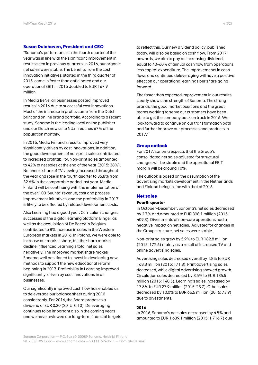### **Susan Duinhoven, President and CEO**

"Sanoma's performance in the fourth quarter of the year was in line with the significant improvement in results seen in previous quarters. In 2016, our organic net sales were stable. The benefits from the cost innovation initiatives, started in the third quarter of 2015, came in faster than anticipated and our operational EBIT in 2016 doubled to EUR 167.9 million.

In Media BeNe, all businesses posted improved results in 2016 due to successful cost innovations. Most of the increase in profits came from the Dutch print and online brand portfolio. According to a recent study, Sanoma is the leading local online publisher and our Dutch news site NU.nl reaches 67% of the population monthly.

In 2016, Media Finland's results improved very significantly driven by cost innovations. In addition, the good development of non-print sales contributed to increased profitability. Non-print sales amounted to 42% of net sales at the end of the year (2015: 38%). Nelonen's share of TV viewing increased throughout the year and rose in the fourth quarter to 35.8% from 32.6% in the comparable period last year. Media Finland will be continuing with the implementation of the over 100 'Suunta' revenue, cost and process improvement initiatives, and the profitability in 2017 is likely to be affected by related development costs.

Also Learning had a good year. Curriculum changes, successes of the digital learning platform Bingel, as well as the acquisition of De Boeck in Belgium contributed to 8% increase in sales in the Western European markets in 2016. In Poland, we were able to increase our market share, but the sharp market decline influenced Learning's total net sales negatively. The improved market share makes Sanoma well positioned to invest in developing new methods to support the new educational reform beginning in 2017. Profitability in Learning improved significantly, driven by cost innovations in all businesses.

Our significantly improved cash flow has enabled us to deleverage our balance sheet during 2016 considerably. For 2016, the Board proposes a dividend of EUR 0.20 (2015: 0.10). Deleveraging continues to be important also in the coming years and we have reviewed our long-term financial targets to reflect this. Our new dividend policy, published today, will also be based on cash flow. From 2017 onwards, we aim to pay an increasing dividend, equal to 40–60% of annual cash flow from operations less capital expenditure. The improvements in cash flows and continued deleveraging will have a positive effect on our operational earnings per share going forward.

The faster than expected improvement in our results clearly shows the strength of Sanoma. The strong brands, the good market positions and the great teams working to serve our customers have been able to get the company back on track in 2016. We look forward to continue on our transformation path and further improve our processes and products in 2017."

### **Group outlook**

For 2017, Sanoma expects that the Group's consolidated net sales adjusted for structural changes will be stable and the operational EBIT margin will be around 10%.

The outlook is based on the assumption of the advertising markets development in the Netherlands and Finland being in line with that of 2016.

## **Net sales**

### **Fourth quarter**

In October–December, Sanoma's net sales decreased by 2.7% and amounted to EUR 398.1 million (2015: 409.3). Divestments of non-core operations had a negative impact on net sales. Adjusted for changes in the Group structure, net sales were stable.

Non-print sales grew by 5.9% to EUR 182.8 million (2015: 172.6) mainly as a result of increased TV and online advertising sales.

Advertising sales decreased overall by 1.8% to EUR 168.3 million (2015: 171.3). Print advertising sales decreased, while digital advertising showed growth. Circulation sales decreased by 3.5% to EUR 135.5 million (2015: 140.5). Learning's sales increased by 17.8% to EUR 27.9 million (2015: 23.7). Other sales decreased by 10.0% to EUR 66.5 million (2015: 73.9) due to divestments.

### **2016**

In 2016, Sanoma's net sales decreased by 4.5% and amounted to EUR 1,639.1 million (2015: 1,716.7) due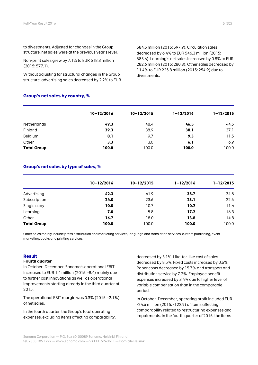to divestments. Adjusted for changes in the Group structure, net sales were at the previous year's level.

Non-print sales grew by 7.1% to EUR 618.3 million (2015: 577.1).

Without adjusting for structural changes in the Group structure, advertising sales decreased by 2.2% to EUR

**Group's net sales by country, %**

584.5 million (2015: 597.9). Circulation sales decreased by 6.4% to EUR 546.3 million (2015: 583.6). Learning's net sales increased by 0.8% to EUR 282.6 million (2015: 280.3). Other sales decreased by 11.4% to EUR 225.8 million (2015: 254.9) due to divestments.

|                    | $10 - 12/2016$ | $10 - 12/2015$ | $1 - 12/2016$ | $1 - 12/2015$ |
|--------------------|----------------|----------------|---------------|---------------|
| <b>Netherlands</b> | 49.3           | 48.4           | 46.5          | 44.5          |
| Finland            | 39.3           | 38.9           | 38.1          | 37.1          |
| Belgium            | 8.1            | 9.7            | 9.3           | 11.5          |
| Other              | 3.3            | 3.0            | 6.1           | 6.9           |
| <b>Total Group</b> | 100.0          | 100.0          | 100.0         | 100.0         |

# **Group's net sales by type of sales, %**

|                    | $10 - 12/2016$ | $10 - 12/2015$ | $1 - 12/2016$ | $1 - 12/2015$ |
|--------------------|----------------|----------------|---------------|---------------|
|                    |                |                |               |               |
| Advertising        | 42.3           | 41.9           | 35.7          | 34.8          |
| Subscription       | 24.0           | 23.6           | 23.1          | 22.6          |
| Single copy        | 10.0           | 10.7           | 10.2          | 11.4          |
| Learning           | 7.0            | 5.8            | 17.2          | 16.3          |
| Other              | 16.7           | 18.0           | 13.8          | 14.8          |
| <b>Total Group</b> | 100.0          | 100.0          | 100.0         | 100.0         |

Other sales mainly include press distribution and marketing services, language and translation services, custom publishing, event marketing, books and printing services.

### **Result**

### **Fourth quarter**

In October–December, Sanoma's operational EBIT increased to EUR 1.4 million (2015: -8.4) mainly due to further cost innovations as well as operational improvements starting already in the third quarter of 2015.

The operational EBIT margin was 0.3% (2015: -2.1%) of net sales.

In the fourth quarter, the Group's total operating expenses, excluding items affecting comparability, decreased by 3.1%. Like-for-like cost of sales decreased by 8.5%. Fixed costs increased by 0.6%. Paper costs decreased by 15.7% and transport and distribution service by 7.7%. Employee benefit expenses increased by 3.4% due to higher level of variable compensation than in the comparable period.

In October–December, operating profit included EUR -24.6 million (2015: -122.9) of items affecting comparability related to restructuring expenses and impairments. In the fourth quarter of 2015, the items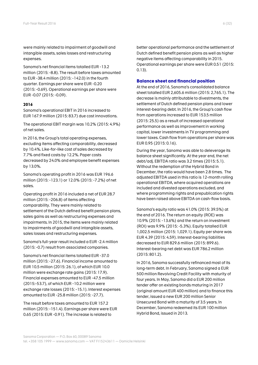were mainly related to impairment of goodwill and intangible assets, sales losses and restructuring expenses.

Sanoma's net financial items totalled EUR -13.2 million (2015: -8.8). The result before taxes amounted to EUR -38.4 million (2015: -142.0) in the fourth quarter. Earnings per share were EUR -0.20 (2015: -0.69). Operational earnings per share were EUR -0.07 (2015: -0.09).

### **2016**

Sanoma's operational EBIT in 2016 increased to EUR 167.9 million (2015: 83.7) due cost innovations.

The operational EBIT margin was 10.2% (2015: 4.9%) of net sales.

In 2016, the Group's total operating expenses, excluding items affecting comparability, decreased by 10.4%. Like-for-like cost of sales decreased by 7.7% and fixed costs by 12.2%. Paper costs decreased by 24.0% and employee benefit expenses by 13.0%.

Sanoma's operating profit in 2016 was EUR 196.6 million (2015: -123.1) or 12.0% (2015: -7.2%) of net sales.

Operating profit in 2016 included a net of EUR 28.7 million (2015: -206.8) of items affecting comparability. They were mainly related to settlement of the Dutch defined benefit pension plans, sales gains as well as restructuring expenses and impairments. In 2015, the items were mainly related to impairments of goodwill and intangible assets, sales losses and restructuring expenses.

Sanoma's full-year result included a EUR -2.4 million (2015: -0.7) result from associated companies.

Sanoma's net financial items totalled EUR -37.0 million (2015: -27.6). Financial income amounted to EUR 10.5 million (2015: 26.1), of which EUR 10.0 million were exchange rate gains (2015: 17.9). Financial expenses amounted to EUR -47.5 million (2015:-53.7), of which EUR -10.2 million were exchange rate losses (2015: -15.1). Interest expenses amounted to EUR -25.8 million (2015: -27.7).

The result before taxes amounted to EUR 157.2 million (2015: -151.4). Earnings per share were EUR 0.65 (2015: EUR -0.91). The increase is related to

better operational performance and the settlement of Dutch defined benefit pension plans as well as higher negative items affecting comparability in 2015. Operational earnings per share were EUR 0.51 (2015: 0.13).

### **Balance sheet and financial position**

At the end of 2016, Sanoma's consolidated balance sheet totalled EUR 2,605.6 million (2015: 2,765.1). The decrease is mainly attributable to divestments, the settlement of Dutch defined pension plans and lower interest-bearing debt. In 2016, the Group's cash flow from operations increased to EUR 153.5 million (2015: 25.5) as a result of increased operational performance as well as improvement in working capital, lower investments in TV programming and lower taxes. Cash flow from operations per share was EUR 0.95 (2015: 0.16).

During the year, Sanoma was able to deleverage its balance sheet significantly. At the year end, the net debt/adj. EBITDA ratio was 3.2 times (2015: 5.1). Without the redemption of the Hybrid Bond in December, the ratio would have been 2.8 times. The adjusted EBITDA used in this ratio is 12-month rolling operational EBITDA, where acquired operations are included and divested operations excluded, and where programming rights and prepublication rights have been raised above EBITDA on cash-flow basis.

Sanoma's equity ratio was 41.0% (2015: 39.5%) at the end of 2016. The return on equity (ROE) was 10.9% (2015: -13.6%) and the return on investment (ROI) was 9.9% (2015: -5.3%). Equity totalled EUR 1,002.5 million (2015: 1,029.1). Equity per share was EUR 4.39 (2015: 4.59). Interest-bearing liabilities decreased to EUR 829.6 million (2015: 899.6). Interest-bearing net debt was EUR 786.2 million (2015: 801.2).

In 2016, Sanoma successfully refinanced most of its long-term debt. In February, Sanoma signed a EUR 500 million Revolving Credit Facility with maturity of four years. In May, Sanoma did a EUR 200 million tender offer on existing bonds maturing in 2017 (original amount EUR 400 million) and to finance this tender, issued a new EUR 200 million Senior Unsecured Bond with a maturity of 3.5 years. In December, Sanoma redeemed its EUR 100 million Hybrid Bond, issued in 2013.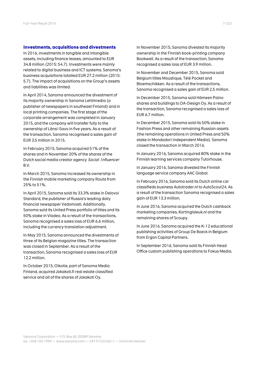### **Investments, acquisitions and divestments**

In 2016, investments in tangible and intangible assets, including finance leases, amounted to EUR 34.8 million (2015: 54.7). Investments were mainly related to digital business and ICT systems. Sanoma's business acquisitions totalled EUR 27.2 million (2015: 5.7). The impact of acquisitions on the Group's assets and liabilities was limited.

In April 2014, Sanoma announced the divestment of its majority ownership in Sanoma Lehtimedia (a publisher of newspapers in southeast Finland) and in local printing companies. The first stage of the corporate arrangement was completed in January 2015, and the company will transfer fully to the ownership of Länsi-Savo in five years. As a result of the transaction, Sanoma recognised a sales gain of EUR 3.5 million in 2015.

In February 2015, Sanoma acquired 51% of the shares and in November 20% of the shares of the Dutch social media creator agency Social 1nfluencer B.V.

In March 2015, Sanoma increased its ownership in the Finnish mobile marketing company Routa from 25% to 51%.

In April 2015, Sanoma sold its 33.3% stake in Delovoi Standard, the publisher of Russia's leading daily financial newspaper Vedomosti. Additionally, Sanoma sold its United Press portfolio of titles and its 50% stake in Viadeo. As a result of the transactions, Sanoma recognised a sales loss of EUR 6.6 million, including the currency translation adjustment.

In May 2015, Sanoma announced the divestments of three of its Belgian magazine titles. The transaction was closed in September. As a result of the transaction, Sanoma recognised a sales loss of EUR 12.2 million.

In October 2015, Oikotie, part of Sanoma Media Finland, acquired Jokakoti.fi real estate classified service and all of the shares of Jokakoti Oy.

In November 2015, Sanoma divested its majority ownership in the Finnish book-printing company Bookwell. As a result of the transaction, Sanoma recognised a sales loss of EUR 3.9 million.

In November and December 2015, Sanoma sold Belgium titles Moustique, Télé Pocket and Bloemschikken. As a result of the transactions, Sanoma recognised a sales gain of EUR 2.5 million.

In December 2015, Sanoma sold Hämeen Paino shares and buildings to DA-Design Oy. As a result of the transaction, Sanoma recognised a sales loss of EUR 6.7 million.

In December 2015, Sanoma sold its 50% stake in Fashion Press and other remaining Russian assets (the remaining operations in United Press and 50% stake in Mondadori Independent Media). Sanoma closed the transaction in March 2016.

In January 2016, Sanoma acquired 80% stake in the Finnish learning services company Tutorhouse.

In January 2016, Sanoma divested the Finnish language service company AAC Global.

In February 2016, Sanoma sold its Dutch online car classifieds business Autotrader.nl to AutoScout24. As a result of the transaction Sanoma recognised a sales gain of EUR 13.3 million.

In June 2016, Sanoma acquired the Dutch cashback marketing companies, Kortingisleuk.nl and the remaining shares of Scoupy.

In June 2016, Sanoma acquired the K-12 educational publishing activities of Group De Boeck in Belgium from Ergon Capital Partners.

In September 2016, Sanoma sold its Finnish Head Office custom publishing operations to Fokus Media.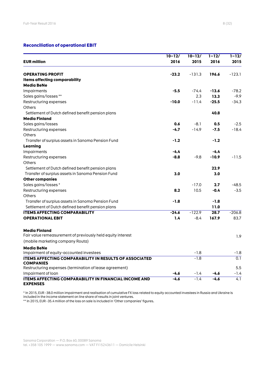# **Reconciliation of operational EBIT**

|                                                                                   | $10 - 12/$ | $10 - 12/$ | $1 - 12/$ | $1 - 12/$        |
|-----------------------------------------------------------------------------------|------------|------------|-----------|------------------|
| <b>EUR million</b>                                                                | 2016       | 2015       | 2016      | 2015             |
| <b>OPERATING PROFIT</b>                                                           | $-23.2$    | $-131.3$   | 196.6     | $-123.1$         |
| Items affecting comparability                                                     |            |            |           |                  |
| <b>Media BeNe</b>                                                                 |            |            |           |                  |
| Impairments                                                                       | $-5.5$     | $-74.4$    | $-13.6$   | $-78.2$          |
| Sales gains/losses **                                                             |            | 2.3        | 13.3      | $-9.9$           |
| Restructuring expenses                                                            | $-10.0$    | $-11.4$    | $-25.5$   | $-34.3$          |
| Others                                                                            |            |            |           |                  |
| Settlement of Dutch defined benefit pension plans                                 |            |            | 40.8      |                  |
| <b>Media Finland</b>                                                              |            |            |           |                  |
| Sales gains/losses                                                                | 0.6        | $-8.1$     | 0.5       | $-2.5$           |
| Restructuring expenses                                                            | $-4.7$     | $-14.9$    | $-7.5$    | $-18.4$          |
| Others                                                                            |            |            |           |                  |
| Transfer of surplus assets in Sanoma Pension Fund                                 | $-1.2$     |            | $-1.2$    |                  |
| Learning                                                                          |            |            |           |                  |
| Impairments                                                                       | $-4.4$     |            | $-4.4$    |                  |
| Restructuring expenses                                                            | $-8.8$     | $-9.8$     | $-10.9$   | $-11.5$          |
| <b>Others</b>                                                                     |            |            |           |                  |
| Settlement of Dutch defined benefit pension plans                                 |            |            | 22.9      |                  |
| Transfer of surplus assets in Sanoma Pension Fund                                 | 3.0        |            | 3.0       |                  |
| <b>Other companies</b>                                                            |            |            |           |                  |
| Sales gains/losses*                                                               |            | $-17.0$    | 2.7       | $-48.5$          |
| Restructuring expenses                                                            | 8.2        | 10.5       | $-0.4$    | $-3.5$           |
| Others                                                                            |            |            |           |                  |
| Transfer of surplus assets in Sanoma Pension Fund                                 | $-1.8$     |            | $-1.8$    |                  |
| Settlement of Dutch defined benefit pension plans                                 |            |            | 11.0      |                  |
| <b>ITEMS AFFECTING COMPARABILITY</b>                                              | $-24.6$    | $-122.9$   | 28.7      | $-206.8$         |
| <b>OPERATIONAL EBIT</b>                                                           | 1.4        | $-8.4$     | 167.9     | 83.7             |
| <b>Media Finland</b>                                                              |            |            |           |                  |
| Fair value remeasurement of previously held equity interest                       |            |            |           | 1.9              |
| (mobile marketing company Routa)                                                  |            |            |           |                  |
| <b>Media BeNe</b>                                                                 |            |            |           |                  |
| Impairment of equity-accounted investees                                          |            | $-1.8$     |           | $-1.8$           |
| <b>ITEMS AFFECTING COMPARABILITY IN RESULTS OF ASSOCIATED</b><br><b>COMPANIES</b> |            | $-1.8$     |           | 0.1              |
| Restructuring expenses (termination of lease agreement)                           |            |            |           | 5.5              |
| Impairment of loan                                                                | $-4.6$     | $-1.4$     | $-4.6$    | $-1.4$           |
| <b>ITEMS AFFECTING COMPARABILITY IN FINANCIAL INCOME AND</b><br><b>EXPENSES</b>   | $-4.6$     | $-1.4$     | $-4.6$    | $\overline{4.1}$ |

\* In 2015, EUR -38.0 million impairment and realisation of cumulative FX loss related to equity accounted investees in Russia and Ukraine is included in the income statement on line share of results in joint ventures.

\*\* In 2015, EUR -35.4 million of the loss on sale is included in 'Other companies' figures.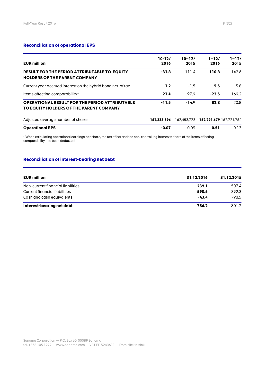# **Reconciliation of operational EPS**

| <b>EUR million</b>                                                                               | $10-12/$<br>2016 | $10 - 12/$<br>2015 | $1 - 12/$<br>2016 | $1 - 12/$<br>2015       |
|--------------------------------------------------------------------------------------------------|------------------|--------------------|-------------------|-------------------------|
| <b>RESULT FOR THE PERIOD ATTRIBUTABLE TO EQUITY</b><br><b>HOLDERS OF THE PARENT COMPANY</b>      | $-31.8$          | $-111.4$           | 110.8             | $-142.6$                |
| Current year accrued interest on the hybrid bond net of tax                                      | $-1.2$           | $-1.5$             | $-5.5$            | $-5.8$                  |
| Items affecting comparability*                                                                   | 21.4             | 97.9               | $-22.5$           | 169.2                   |
| <b>OPERATIONAL RESULT FOR THE PERIOD ATTRIBUTABLE</b><br>TO EQUITY HOLDERS OF THE PARENT COMPANY | $-11.5$          | $-14.9$            | 82.8              | 20.8                    |
| Adjusted average number of shares                                                                | 162.333.596      | 162,453,723        |                   | 162,291,679 162,721,764 |
| <b>Operational EPS</b>                                                                           | $-0.07$          | $-0.09$            | 0.51              | 0.13                    |

\* When calculating operational earnings per share, the tax effect and the non-controlling interest's share of the items affecting comparability has been deducted.

# **Reconciliation of interest-bearing net debt**

| <b>EUR million</b>                | 31.12.2016 | 31.12.2015 |
|-----------------------------------|------------|------------|
| Non-current financial liabilities | 239.1      | 507.4      |
| Current financial liabilities     | 590.5      | 392.3      |
| Cash and cash equivalents         | -43.4      | $-98.5$    |
| Interest-bearing net debt         | 786.2      | 801.2      |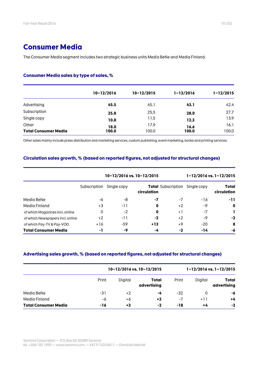# **Consumer Media**

The Consumer Media segment includes two strategic business units Media BeNe and Media Finland.

# **Consumer Media sales by type of sales, %**

|                             | $10 - 12/2016$ | $10 - 12/2015$ | $1 - 12/2016$ | $1 - 12/2015$ |
|-----------------------------|----------------|----------------|---------------|---------------|
| Advertising                 | 45.5           | 45.1           | 43.1          | 42.4          |
| Subscription                | 25.8           | 25.5           | 28.0          | 27.7          |
| Single copy                 | 10.8           | 11.5           | 12.3          | 13.9          |
| Other                       | 18.0           | 17.9           | 16.6          | 16.1          |
| <b>Total Consumer Media</b> | 100.0          | 100.0          | 100.0         | 100.0         |

Other sales mainly include press distribution and marketing services, custom publishing, event marketing, books and printing services.

# **Circulation sales growth, % (based on reported figures, not adjusted for structural changes)**

|                                  | 10-12/2016 vs. 10-12/2015 |             |             | $1 - 12/2016$ vs. $1 - 12/2015$ |             |                      |
|----------------------------------|---------------------------|-------------|-------------|---------------------------------|-------------|----------------------|
|                                  | Subscription              | Single copy | circulation | <b>Total</b> Subscription       | Single copy | Total<br>circulation |
| Media BeNe                       | -6                        | -8          | -7          | -7                              | $-16$       | -11                  |
| Media Finland                    | $+3$                      | -11         | 0           | $+2$                            | -9          | 0                    |
| of which Magazines incl. online  | 0                         | $-2$        | 0           | $+1$                            | $-7$        | L                    |
| of which Newspapers incl. online | $+2$                      | -11         | $-2$        | $+2$                            | -9          | $-2$                 |
| of which Pay-TV & Pay-VOD        | $+16$                     | -59         | $+13$       | +9                              | $-20$       | 8                    |
| <b>Total Consumer Media</b>      | -1                        | -9          | -4          | -2                              | -14         | -6                   |

# **Advertising sales growth, % (based on reported figures, not adjusted for structural changes)**

|                             |       | 10-12/2016 vs. 10-12/2015 |                      |       |         | $1 - 12/2016$ vs. $1 - 12/2015$ |
|-----------------------------|-------|---------------------------|----------------------|-------|---------|---------------------------------|
|                             | Print | Digital                   | Total<br>advertising | Print | Digital | Total<br>advertising            |
| Media BeNe                  | -31   | +2                        | -4                   | $-32$ | 0       | -6                              |
| Media Finland               | -6    | +6                        | $+2$                 | -7    | $+11$   | $+4$                            |
| <b>Total Consumer Media</b> | -16   | +3                        | -2                   | -18   | $+4$    | $-2$                            |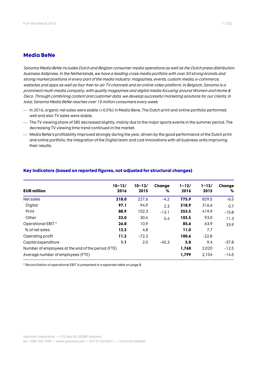# **Media BeNe**

Sanoma Media BeNe includes Dutch and Belgian consumer media operations as well as the Dutch press distribution business Aldipress. In the Netherlands, we have a leading cross media portfolio with over 50 strong brands and strong market positions in every part of the media industry: magazines, events, custom media, e-commerce, websites and apps as well as four free-to-air TV channelsand an online video platform. In Belgium, Sanoma is a prominent multi-media company, with quality magazines and digital media focusing around Women and Home & Deco. Through combining content and customer data, we develop successful marketing solutions for our clients. In total, Sanoma Media BeNe reaches over 15 million consumers every week.

- In 2016, organic net sales were stable (+0.5%) in Media Bene. The Dutch print and online portfolio performed well and also TV sales were stable.
- The TV viewing share of SBS decreased slightly, mainly due to the major sports events in the summer period. The decreasing TV viewing time trend continued in the market.
- Media BeNe's profitability improved strongly during the year, driven by the good performance of the Dutch print and online portfolio, the integration of the Digital team and cost innovations with all business units improving their results.

|                                                    | $10 - 12/$ | $10 - 12/$ | Change  | $1 - 12/$ | $1 - 12/$ | Change  |
|----------------------------------------------------|------------|------------|---------|-----------|-----------|---------|
| <b>EUR million</b>                                 | 2016       | 2015       | %       | 2016      | 2015      | %       |
| Net sales                                          | 218.0      | 227.6      | $-4.2$  | 775.9     | 829.5     | $-6.5$  |
| Digital                                            | 97.1       | 94.9       | 2.3     | 318.9     | 316.6     | 0.7     |
| Print                                              | 88.9       | 102.3      | $-13.1$ | 353.5     | 419.9     | $-15.8$ |
| Other                                              | 32.0       | 30.4       | 5.4     | 103.5     | 93.0      | 11.3    |
| Operational EBIT*                                  | 26.8       | 10.9       |         | 85.6      | 63.9      | 33.9    |
| % of net sales                                     | 12.3       | 4.8        |         | 11.0      | 7.7       |         |
| Operating profit                                   | 11.2       | $-72.3$    |         | 100.6     | $-22.8$   |         |
| Capital expenditure                                | 1.1        | 2.0        | $-45.3$ | 5.8       | 9.4       | -37.8   |
| Number of employees at the end of the period (FTE) |            |            |         |           | 2,020     | $-12.5$ |
| Average number of employees (FTE)                  |            |            |         | 1,799     | 2.104     | $-14.5$ |

# **Key indicators (based on reported figures, not adjusted for structural changes)**

\* Reconciliation of operational EBIT is presented in a separate table on page 8.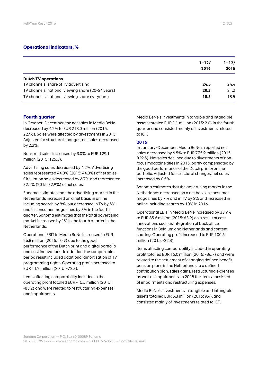# **Operational indicators, %**

|                                                   | $1 - 12/$<br>2016 | $1 - 12/$<br>2015 |
|---------------------------------------------------|-------------------|-------------------|
| <b>Dutch TV operations</b>                        |                   |                   |
| TV channels' share of TV advertising              | 24.5              | 24.4              |
| TV channels' national viewing share (20-54 years) | 20.3              | 21.2              |
| TV channels' national viewing share (6+ years)    | 18.6              | 18.5              |

## **Fourth quarter**

In October–December, the net sales in Media BeNe decreased by 4.2% to EUR 218.0 million (2015: 227.6). Sales were affected by divestments in 2015. Adjusted for structural changes, net sales decreased by 2.2%.

Non-print sales increased by 3.0% to EUR 129.1 million (2015: 125.3).

Advertising sales decreased by 4.2%. Advertising sales represented 44.3% (2015: 44.3%) of net sales. Circulation sales decreased by 6.7% and represented 32.1% (2015: 32.9%) of net sales.

Sanoma estimates that the advertising market in the Netherlands increased on a net basis in online including search by 8%, but decreased in TV by 5% and in consumer magazines by 3% in the fourth quarter. Sanoma estimates that the total advertising market increased by 1% in the fourth quarter in the Netherlands.

Operational EBIT in Media BeNe increased to EUR 26.8 million (2015: 10.9) due to the good performance of the Dutch print and digital portfolio and cost innovations. In addition, the comparable period result included additional amortisation of TV programming rights. Operating profit increased to EUR 11.2 million (2015: -72.3).

Items affecting comparability included in the operating profit totalled EUR -15.5 million (2015: -83.2) and were related to restructuring expenses and impairments.

Media BeNe's investments in tangible and intangible assets totalled EUR 1.1 million (2015: 2.0) in the fourth quarter and consisted mainly of investments related to ICT.

### **2016**

In January–December, Media BeNe's reported net sales decreased by 6.5% to EUR 775.9 million (2015: 829.5). Net sales declined due to divestments of nonfocus magazine titles in 2015, partly compensated by the good performance of the Dutch print & online portfolio. Adjusted for structural changes, net sales increased by 0.5%.

Sanoma estimates that the advertising market in the Netherlands decreased on a net basis in consumer magazines by 7% and in TV by 2% and increased in online including search by 10% in 2016.

Operational EBIT in Media BeNe increased by 33.9% to EUR 85.6 million (2015: 63.9) as a result of cost innovations such as integration of back office functions in Belgium and Netherlands and content sharing. Operating profit increased to EUR 100.6 million (2015: -22.8).

Items affecting comparability included in operating profit totalled EUR 15.0 million (2015: -86.7) and were related to the settlement of changing defined benefit pension plans in the Netherlands to a defined contribution plan, sales gains, restructuring expenses as well as impairments. In 2015 the items consisted of impairments and restructuring expenses.

Media BeNe's investments in tangible and intangible assets totalled EUR 5.8 million (2015: 9.4), and consisted mainly of investments related to ICT.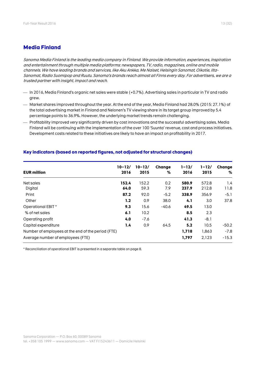# **Media Finland**

Sanoma Media Finland is the leading media company in Finland. We provide information, experiences, inspiration and entertainment through multiple media platforms: newspapers, TV, radio, magazines, online and mobile channels. We have leading brands and services, like Aku Ankka, Me Naiset, Helsingin Sanomat, Oikotie, Ilta-Sanomat, Radio Suomipop and Ruutu. Sanoma's brands reach almost all Finns every day. For advertisers, we are a trusted partner with insight, impact and reach.

- In 2016, Media Finland's organic net sales were stable (+0.7%). Advertising sales in particular in TV and radio grew.
- Market shares improved throughout the year. At the end of the year, Media Finland had 28.0% (2015: 27.1%) of the total advertising market in Finland and Nelonen's TV viewing share in its target group improved by 5.4 percentage points to 36.9%. However, the underlying market trends remain challenging.
- Profitability improved very significantly driven by cost innovations and the successful advertising sales. Media Finland will be continuing with the implementation of the over 100 'Suunta' revenue, cost and process initiatives. Development costs related to these initiatives are likely to have an impact on profitability in 2017.

| <b>EUR million</b>                                 | $10 - 12/$<br>2016 | $10 - 12/$<br>2015 | Change<br>% | $1 - 12/$<br>2016 | $1 - 12/$<br>2015 | Change<br>% |
|----------------------------------------------------|--------------------|--------------------|-------------|-------------------|-------------------|-------------|
| Net sales                                          | 152.4              | 152.2              | 0.2         | 580.9             | 572.8             | 1.4         |
| Digital                                            | 64.0               | 59.3               | 7.9         | 237.9             | 212.8             | 11.8        |
| Print                                              | 87.2               | 92.0               | $-5.2$      | 338.9             | 356.9             | $-5.1$      |
| Other                                              | 1.2                | 0.9                | 38.0        | 4.1               | 3.0               | 37.8        |
| Operational EBIT *                                 | 9.3                | 15.6               | $-40.6$     | 49.5              | 13.0              |             |
| % of net sales                                     | 6.1                | 10.2               |             | 8.5               | 2.3               |             |
| Operating profit                                   | 4.0                | $-7.6$             |             | 41.3              | $-8.1$            |             |
| Capital expenditure                                | 1.4                | 0.9                | 64.5        | 5.2               | 10.5              | $-50.2$     |
| Number of employees at the end of the period (FTE) |                    |                    |             | 1,718             | 1,863             | $-7.8$      |
| Average number of employees (FTE)                  |                    |                    |             | 1,797             | 2,123             | $-15.3$     |

### **Key indicators (based on reported figures, not adjusted for structural changes)**

\* Reconciliation of operational EBIT is presented in a separate table on page 8.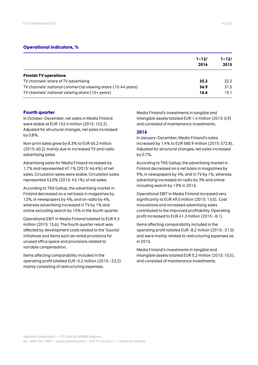# **Operational indicators, %**

|                                                              | $1 - 12/$<br>2016 | $1 - 12/$<br>2015 |
|--------------------------------------------------------------|-------------------|-------------------|
| <b>Finnish TV operations</b>                                 |                   |                   |
| TV channels' share of TV advertising                         | 35.3              | 32.2              |
| TV channels' national commercial viewing share (10-44 years) | 36.9              | 31.5              |
| TV channels' national viewing share (10+ years)              | 16.6              | 15.1              |

## **Fourth quarter**

In October–December, net sales in Media Finland were stable at EUR 152.4 million (2015: 152.2). Adjusted for structural changes, net sales increased by 0.8%.

Non-print sales grew by 8.3% to EUR 65.2 million (2015: 60.2) mainly due to increased TV and radio advertising sales.

Advertising sales for Media Finland increased by 1.7% and represented 47.1% (2015: 46.4%) of net sales. Circulation sales were stable. Circulation sales represented 43.0% (2015: 43.1%) of net sales.

According to TNS Gallup, the advertising market in Finland decreased on a net basis in magazines by 12%, in newspapers by 4%, and on radio by 4%, whereas advertising increased in TV by 1% and online excluding search by 15% in the fourth quarter.

Operational EBIT in Media Finland totalled to EUR 9.3 million (2015: 15.6). The fourth quarter result was affected by development costs related to the 'Suunta' initiatives and items such as rental provisions for unused office space and provisions related to variable compensation.

Items affecting comparability included in the operating profit totalled EUR -5.2 million (2015: -23.2) mainly consisting of restructuring expenses.

Media Finland's investments in tangible and intangible assets totalled EUR 1.4 million (2015: 0.9) and consisted of maintenance investments.

## **2016**

In January–December, Media Finland's sales increased by 1.4% to EUR 580.9 million (2015: 572.8). Adjusted for structural changes, net sales increased by 0.7%.

According to TNS Gallup, the advertising market in Finland decreased on a net basis in magazines by 9%, in newspapers by 4%, and in TV by 1%, whereas advertising increased on radio by 3% and online including search by 13% in 2016.

Operational EBIT in Media Finland increased very significantly to EUR 49.5 million (2015: 13.0). Cost innovations and increased advertising sales contributed to the improved profitability. Operating profit increased to EUR 41.3 million (2015: -8.1).

Items affecting comparability included in the operating profit totalled EUR -8.2 million (2015: -21.0) and were mainly related to restructuring expenses as in 2015.

Media Finland's investments in tangible and intangible assets totalled EUR 5.2 million (2015: 10.5), and consisted of maintenance investments.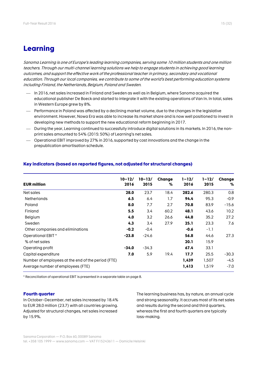# **Learning**

Sanoma Learning is one of Europe's leading learning companies, serving some 10 million students and one million teachers. Through our multi-channel learning solutions we help to engage students in achieving good learning outcomes, and support the effective work of the professional teacher in primary, secondary and vocational education. Through our local companies, we contribute to some of the world's best performing education systems including Finland, the Netherlands, Belgium, Poland and Sweden.

- In 2016, net sales increased in Finland and Sweden as well as in Belgium, where Sanoma acquired the educational publisher De Boeck and started to integrate it with the existing operations of Van In. In total, sales in Western Europe grew by 8%.
- Performance in Poland was affected by a declining market volume, due to the changes in the legislative environment. However, Nowa Era was able to increase its market share and is now well positioned to invest in developing new methods to support the new educational reform beginning in 2017.
- During the year, Learning continued to successfully introduce digital solutions in its markets. In 2016, the nonprint sales amounted to 54% (2015: 50%) of Learning's net sales.
- Operational EBIT improved by 27% in 2016, supported by cost innovations and the change in the prepublication amortisation schedule.

| <b>EUR million</b>                                 | $10 - 12/$<br>2016 | $10 - 12/$<br>2015 | Change<br>% | $1 - 12/$<br>2016 | $1 - 12/$<br>2015 | Change<br>℅ |
|----------------------------------------------------|--------------------|--------------------|-------------|-------------------|-------------------|-------------|
| Net sales                                          | 28.0               | 23.7               | 18.4        | 282.6             | 280.3             | 0.8         |
| <b>Netherlands</b>                                 | 6.5                | 6.4                | 1.7         | 94.4              | 95.3              | $-0.9$      |
| Poland                                             | 8.0                | 7.7                | 2.7         | 70.8              | 83.9              | $-15.6$     |
| Finland                                            | 5.5                | 3.4                | 60.2        | 48.1              | 43.6              | 10.2        |
| Belgium                                            | 4.0                | 3.2                | 26.6        | 44.8              | 35.2              | 27.2        |
| Sweden                                             | 4.3                | 3.4                | 27.9        | 25.1              | 23.3              | 7.6         |
| Other companies and eliminations                   | $-0.2$             | $-0.4$             |             | $-0.6$            | $-1.1$            |             |
| Operational EBIT *                                 | $-23.8$            | $-24.6$            |             | 56.8              | 44.6              | 27.3        |
| % of net sales                                     |                    |                    |             | 20.1              | 15.9              |             |
| Operating profit                                   | $-34.0$            | $-34.3$            |             | 67.4              | 33.1              |             |
| Capital expenditure                                | 7.0                | 5.9                | 19.4        | 17.7              | 25.5              | $-30.3$     |
| Number of employees at the end of the period (FTE) |                    |                    |             | 1,439             | 1,507             | $-4.5$      |
| Average number of employees (FTE)                  |                    |                    |             | 1,413             | 1,519             | $-7.0$      |

# **Key indicators (based on reported figures, not adjusted for structural changes)**

\* Reconciliation of operational EBIT is presented in a separate table on page 8.

# **Fourth quarter**

In October–December, net sales increased by 18.4% to EUR 28.0 million (23.7) with all countries growing. Adjusted for structural changes, net sales increased by 15.9%.

The learning business has, by nature, an annual cycle and strong seasonality. It accrues most of its net sales and results during the second and third quarters, whereas the first and fourth quarters are typically loss-making.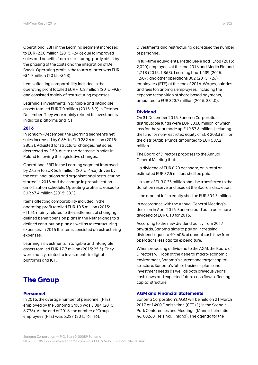Operational EBIT in the Learning segment increased to EUR -23.8 million (2015: -24.6) due to improved sales and benefits from restructuring, partly offset by the phasing of the costs and the integration of De Boeck. Operating profit in the fourth quarter was EUR -34.0 million (2015: -34.3).

Items affecting comparability included in the operating profit totalled EUR -10.2 million (2015: -9.8) and consisted mainly of restructuring expenses.

Learning's investments in tangible and intangible assets totalled EUR 7.0 million (2015: 5.9) in October– December. They were mainly related to investments in digital platforms and ICT.

### **2016**

In January–December, the Learning segment's net sales increased by 0.8% to EUR 282.6 million (2015: 280.3). Adjusted for structural changes, net sales decreased by 2.5% due to the decrease in sales in Poland following the legislative changes.

Operational EBIT in the Learning segment improved by 27.3% to EUR 56.8 million (2015: 44.6) driven by the cost innovations and organisational restructuring started in 2015 and the change in prepublication amortisation schedule. Operating profit increased to EUR 67.4 million (2015: 33.1).

Items affecting comparability included in the operating profit totalled EUR 10.5 million (2015: -11.5), mainly related to the settlement of changing defined benefit pension plans in the Netherlands to a defined contribution plan as well as to restructuring expenses. In 2015 the items consisted of restructuring expenses.

Learning's investments in tangible and intangible assets totalled EUR 17.7 million (2015: 25.5). They were mainly related to investments in digital platforms and ICT.

# **The Group**

### **Personnel**

In 2016, the average number of personnel (FTE) employed by the Sanoma Group was 5,384 (2015: 6,776). At the end of 2016, the number of Group employees (FTE) was 5,227 (2015: 6,116).

Divestments and restructuring decreased the number of personnel.

In full-time equivalents, Media BeNe had 1,768 (2015: 2,020) employees at the end 2016 and Media Finland 1,718 (2015: 1,863). Learning had 1,439 (2015: 1,507) and other operations 302 (2015: 726) employees (FTE) at the end of 2016. Wages, salaries and fees to Sanoma's employees, including the expense recognition of share based payments, amounted to EUR 323.7 million (2015: 381.0).

### **Dividend**

On 31 December 2016, Sanoma Corporation's distributable funds were EUR 333.8 million, of which loss for the year made up EUR 57.6 million. Including the fund for non-restricted equity of EUR 203.3 million the distributable funds amounted to EUR 537.2 million.

The Board of Directors proposes to the Annual General Meeting that:

– a dividend of EUR 0.20 per share, or in total an estimated EUR 32.5 million, shall be paid.

– a sum of EUR 0.35 million shall be transferred to the donation reserve and used at the Board's discretion.

– the amount left in equity shall be EUR 504.3 million.

In accordance with the Annual General Meeting's decision in April 2016, Sanoma paid out a per-share dividend of EUR 0.10 for 2015.

According to the new dividend policy from 2017 onwards, Sanoma aims to pay an increasing dividend, equal to 40–60% of annual cash flow from operations less capital expenditure.

When proposing a dividend to the AGM, the Board of Directors will look at the general macro-economic environment, Sanoma's current and target capital structure, Sanoma's future business plans and investment needs as well as both previous year's cash flows and expected future cash flows affecting capital structure.

### **AGM and Financial Statements**

Sanoma Corporation's AGM will be held on 21 March 2017 at 14:00 Finnish time (CET+1) in the Scandic Park Conferences and Meetings (Mannerheimintie 46, 00260, Helsinki, Finland). The agenda for the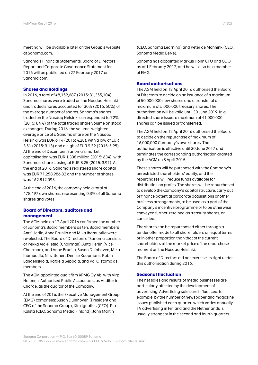meeting will be available later on the Group's website at Sanoma.com.

Sanoma's Financial Statements, Board of Directors' Report and Corporate Governance Statement for 2016 will be published on 27 February 2017 on Sanoma.com.

## **Shares and holdings**

In 2016, a total of 48,152,687 (2015: 81,355,104) Sanoma shares were traded on the Nasdaq Helsinki and traded shares accounted for 30% (2015: 50%) of the average number of shares. Sanoma's shares traded on the Nasdaq Helsinki corresponded to 72% (2015: 84%) of the total traded share volume on stock exchanges. During 2016, the volume-weighted average price of a Sanoma share on the Nasdaq Helsinki was EUR 6.14 (2015: 4.28), with a low of EUR 3.51 (2015: 3.13) and a high of EUR 9.39 (2015: 5.95). At the end of December, Sanoma's market capitalisation was EUR 1,338 million (2015: 634), with Sanoma's share closing at EUR 8.25 (2015: 3.91). At the end of 2016, Sanoma's registered share capital was EUR 71,258,986.82 and the number of shares was 162,812,093.

At the end of 2016, the company held a total of 478,497 own shares, representing 0.3% of all Sanoma shares and votes.

# **Board of Directors, auditors and management**

The AGM held on 12 April 2016 confirmed the number of Sanoma's Board members as ten. Board members Antti Herlin, Anne Brunila and Mika Ihamuotila were re-elected. The Board of Directors of Sanoma consists of Pekka Ala-Pietilä (Chairman), Antti Herlin (Vice Chairman), and Anne Brunila, Susan Duinhoven, Mika Ihamuotila, Nils Ittonen, Denise Koopmans, Robin Langenskiöld, Rafaela Seppälä, and Kai Öistämö as members.

The AGM appointed audit firm KPMG Oy Ab, with Virpi Halonen, Authorised Public Accountant, as Auditor in Charge, as the auditor of the Company.

At the end of 2016, the Executive Management Group (EMG) comprises: Susan Duinhoven (President and CEO of the Sanoma Group), Kim Ignatius (CFO), Pia Kalsta (CEO, Sanoma Media Finland), John Martin

(CEO, Sanoma Learning) and Peter de Mönnink (CEO, Sanoma Media BeNe).

Sanoma has appointed Markus Holm CFO and COO as of 1 February 2017, and he will also be a member of EMG.

# **Board authorisations**

The AGM held on 12 April 2016 authorised the Board of Directors to decide on an issuance of a maximum of 50,000,000 new shares and a transfer of a maximum of 5,000,000 treasury shares. The authorisation will be valid until 30 June 2019. In a directed share issue, a maximum of 41,000,000 shares can be issued or transferred.

The AGM held on 12 April 2016 authorised the Board to decide on the repurchase of maximum of 16,000,000 Company's own shares. The authorisation is effective until 30 June 2017 and terminates the corresponding authorisation granted by the AGM on 8 April 2015.

These shares will be purchased with the Company's unrestricted shareholders' equity, and the repurchases will reduce funds available for distribution on profits. The shares will be repurchased to develop the Company's capital structure, carry out or finance potential corporate acquisitions or other business arrangements, to be used as a part of the Company's incentive programme or to be otherwise conveyed further, retained as treasury shares, or cancelled.

The shares can be repurchased either through a tender offer made to all shareholders on equal terms or in other proportion than that of the current shareholders at the market price of the repurchase moment on the Nasdaq Helsinki.

The Board of Directors did not exercise its right under this authorisation during 2016.

### **Seasonal fluctuation**

The net sales and results of media businesses are particularly affected by the development of advertising. Advertising sales are influenced, for example, by the number of newspaper and magazine issues published each quarter, which varies annually. TV advertising in Finland and the Netherlands is usually strongest in the second and fourth quarters.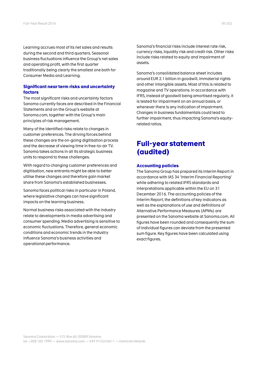Learning accrues most of its net sales and results during the second and third quarters. Seasonal business fluctuations influence the Group's net sales and operating profit, with the first quarter traditionally being clearly the smallest one both for Consumer Media and Learning.

# **Significant near term risks and uncertainty factors**

The most significant risks and uncertainty factors Sanoma currently faces are described in the Financial Statements and on the Group's website at Sanoma.com, together with the Group's main principles of risk management.

Many of the identified risks relate to changes in customer preferences. The driving forces behind these changes are the on-going digitisation process and the decrease of viewing time in free-to-air TV. Sanoma takes actions in all its strategic business units to respond to these challenges.

With regard to changing customer preferences and digitisation, new entrants might be able to better utilise these changes and therefore gain market share from Sanoma's established businesses.

Sanoma faces political risks in particular in Poland, where legislative changes can have significant impacts on the learning business.

Normal business risks associated with the industry relate to developments in media advertising and consumer spending. Media advertising is sensitive to economic fluctuations. Therefore, general economic conditions and economic trends in the industry influence Sanoma's business activities and operational performance.

Sanoma's financial risks include interest rate risk, currency risks, liquidity risk and credit risk. Other risks include risks related to equity and impairment of assets.

Sanoma's consolidated balance sheet includes around EUR 2.1 billion in goodwill, immaterial rights and other intangible assets. Most of this is related to magazine and TV operations. In accordance with IFRS, instead of goodwill being amortised regularly, it is tested for impairment on an annual basis, or whenever there is any indication of impairment. Changes in business fundamentals could lead to further impairment, thus impacting Sanoma's equityrelated ratios.

# **Full-year statement (audited)**

# **Accounting policies**

The Sanoma Group has prepared its Interim Report in accordance with IAS 34 'Interim Financial Reporting' while adhering to related IFRS standards and interpretations applicable within the EU on 31 December 2016. The accounting policies of the Interim Report, the definitions of key indicators as well as the explanations of use and definitions of Alternative Performance Measures (APMs) are presented on the Sanoma website at Sanoma.com. All figures have been rounded and consequently the sum of individual figures can deviate from the presented sum figure. Key figures have been calculated using exact figures.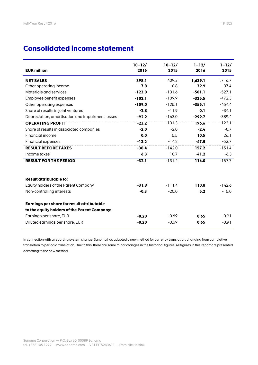# **Consolidated income statement**

| <b>EUR million</b>                               | $10 - 12/$<br>2016 | $10 - 12/$<br>2015 | $1 - 12/$<br>2016 | $1 - 12/$<br>2015 |
|--------------------------------------------------|--------------------|--------------------|-------------------|-------------------|
|                                                  |                    |                    |                   |                   |
| <b>NET SALES</b>                                 | 398.1              | 409.3              | 1,639.1           | 1,716.7           |
| Other operating income                           | 7.8                | 0.8                | 39.9              | 37.4              |
| Materials and services                           | $-123.0$           | $-131.6$           | $-501.1$          | $-527.1$          |
| Employee benefit expenses                        | $-102.1$           | $-109.9$           | $-325.5$          | $-472.3$          |
| Other operating expenses                         | $-109.0$           | $-125.1$           | $-356.1$          | $-454.4$          |
| Share of results in joint ventures               | $-2.8$             | $-11.9$            | 0.1               | $-34.1$           |
| Depreciation, amortisation and impairment losses | $-92.2$            | $-163.0$           | $-299.7$          | $-389.4$          |
| <b>OPERATING PROFIT</b>                          | $-23.2$            | $-131.3$           | 196.6             | $-123.1$          |
| Share of results in associated companies         | $-2.0$             | $-2.0$             | $-2.4$            | $-0.7$            |
| Financial income                                 | 0.0                | 5.5                | 10.5              | 26.1              |
| <b>Financial expenses</b>                        | $-13.2$            | $-14.2$            | $-47.5$           | $-53.7$           |
| <b>RESULT BEFORE TAXES</b>                       | $-38.4$            | $-142.0$           | 157.2             | $-151.4$          |
| Income taxes                                     | 6.3                | 10.7               | $-41.2$           | $-6.3$            |
| <b>RESULT FOR THE PERIOD</b>                     | $-32.1$            | $-131.4$           | 116.0             | $-157.7$          |
|                                                  |                    |                    |                   |                   |
| <b>Result attributable to:</b>                   |                    |                    |                   |                   |
| Equity holders of the Parent Company             | $-31.8$            | $-111.4$           | 110.8             | $-142.6$          |
| Non-controlling interests                        | $-0.3$             | $-20.0$            | 5.2               | $-15.0$           |
| Earnings per share for result attributable       |                    |                    |                   |                   |
| to the equity holders of the Parent Company:     |                    |                    |                   |                   |
| Earnings per share, EUR                          | $-0.20$            | $-0.69$            | 0.65              | $-0.91$           |
| Diluted earnings per share, EUR                  | $-0.20$            | $-0.69$            | 0.65              | $-0.91$           |

In connection with a reporting system change, Sanoma has adapted a new method for currency translation, changing from cumulative translation to periodic translation. Due to this, there are some minor changes in the historical figures. All figures in this report are presented according to the new method.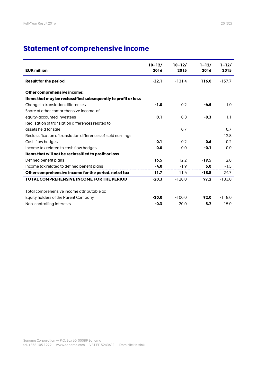# **Statement of comprehensive income**

| <b>EUR million</b>                                            | $10 - 12/$<br>2016 | $10 - 12/$<br>2015 | $1 - 12/$<br>2016 | $1 - 12/$<br>2015 |
|---------------------------------------------------------------|--------------------|--------------------|-------------------|-------------------|
| <b>Result for the period</b>                                  | $-32.1$            | $-131.4$           | 116.0             | $-157.7$          |
| Other comprehensive income:                                   |                    |                    |                   |                   |
| Items that may be reclassified subsequently to profit or loss |                    |                    |                   |                   |
| Change in translation differences                             | $-1.0$             | 0.2                | $-4.5$            | $-1.0$            |
| Share of other comprehensive income of                        |                    |                    |                   |                   |
| equity-accounted investees                                    | 0.1                | 0.3                | $-0.3$            | 1.1               |
| Realisation of translation differences related to             |                    |                    |                   |                   |
| assets held for sale                                          |                    | 0.7                |                   | 0.7               |
| Reclassification of translation differences of sold earnings  |                    |                    |                   | 12.8              |
| Cash flow hedges                                              | 0.1                | $-0.2$             | 0.6               | $-0.2$            |
| Income tax related to cash flow hedges                        | 0.0                | 0.0                | $-0.1$            | 0.0               |
| Items that will not be reclassified to profit or loss         |                    |                    |                   |                   |
| Defined benefit plans                                         | 16.5               | 12.2               | $-19.5$           | 12.8              |
| Income tax related to defined benefit plans                   | $-4.0$             | $-1.9$             | 5.0               | $-1.5$            |
| Other comprehensive income for the period, net of tax         | 11.7               | 11.4               | $-18.8$           | 24.7              |
| TOTAL COMPREHENSIVE INCOME FOR THE PERIOD                     | $-20.3$            | $-120.0$           | 97.2              | $-133.0$          |
| Total comprehensive income attributable to:                   |                    |                    |                   |                   |
| Equity holders of the Parent Company                          | $-20.0$            | $-100.0$           | 92.0              | $-118.0$          |
| Non-controlling interests                                     | $-0.3$             | $-20.0$            | 5.2               | $-15.0$           |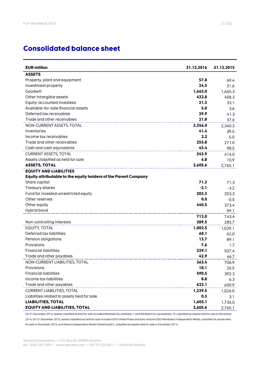# **Consolidated balance sheet**

| <b>EUR million</b>                                              | 31.12.2016 | 31.12.2015 |
|-----------------------------------------------------------------|------------|------------|
| <b>ASSETS</b>                                                   |            |            |
| Property, plant and equipment                                   | 57.8       | 69.4       |
| Investment property                                             | 24.5       | 31.6       |
| Goodwill                                                        | 1,663.0    | 1,665.3    |
| Other intangible assets                                         | 432.8      | 458.3      |
| Equity-accounted investees                                      | 21.3       | 33.1       |
| Available-for-sale financial assets                             | 5.0        | 3.6        |
| Deferred tax receivables                                        | 29.9       | 41.3       |
| Trade and other receivables                                     | 21.8       | 37.6       |
| NON-CURRENT ASSETS, TOTAL                                       | 2,256.0    | 2,340.3    |
| Inventories                                                     | 41.4       | 39.5       |
| Income tax receivables                                          | 2.2        | 5.0        |
| Trade and other receivables                                     | 255.8      | 271.0      |
| Cash and cash equivalents                                       | 43.4       | 98.5       |
| <b>CURRENT ASSETS, TOTAL</b>                                    | 342.9      | 414.0      |
| Assets classified as held for sale                              | 6.8        | 10.9       |
| <b>ASSETS, TOTAL</b>                                            | 2,605.6    | 2,765.1    |
| <b>EQUITY AND LIABILITIES</b>                                   |            |            |
| Equity attributable to the equity holders of the Parent Company |            |            |
| Share capital                                                   | 71.3       | 71.3       |
| Treasury shares                                                 | $-2.1$     | $-3.2$     |
| Fund for invested unrestricted equity                           | 203.3      | 203.3      |
| Other reserves                                                  | 0.0        | $-0.5$     |
| Other equity                                                    | 440.5      | 373.4      |
| Hybrid bond                                                     |            | 99.1       |
|                                                                 | 713.0      | 743.4      |
| Non-controlling interests                                       | 289.5      | 285.7      |
| EQUITY, TOTAL                                                   | 1,002.5    | 1,029.1    |
| Deferred tax liabilities                                        | 60.1       | 62.0       |
| Pension obligations                                             | 13.7       | 89.1       |
| Provisions                                                      | 7.6        | 1.7        |
| <b>Financial liabilities</b>                                    | 239.1      | 507.4      |
| Trade and other payables                                        | 42.9       | 46.7       |
| NON-CURRENT LIABILITIES, TOTAL                                  | 363.4      | 706.9      |
| Provisions                                                      | 18.1       | 26.5       |
| <b>Financial liabilities</b>                                    | 590.5      | 392.3      |
| Income tax liabilities                                          | 8.8        | 6.3        |
| Trade and other payables                                        | 622.1      | 600.9      |
| <b>CURRENT LIABILITIES, TOTAL</b>                               | 1,239.5    | 1,026.0    |
| Liabilities related to assets held for sale                     | 0.3        | 3.1        |
| <b>LIABILITIES, TOTAL</b>                                       | 1,603.1    | 1,736.0    |
| <b>EQUITY AND LIABILITIES, TOTAL</b>                            | 2,605.6    | 2,765.1    |

On 31 December 2016, assets classified as held for sale included Kiinteistö Oy Lehtikaari 1 and Kiinteistö Oy Lepolankatu 15, classified as assets held for sale in December 2016. On 31 December 2015, assets classified as held for sale included OOO United Press and joint venture OOO Mondadori Independent Media, classified as assets held for sale in December 2015, and Hearst Independent Media Publishing B.V., classified as assets held for sale in December 2014.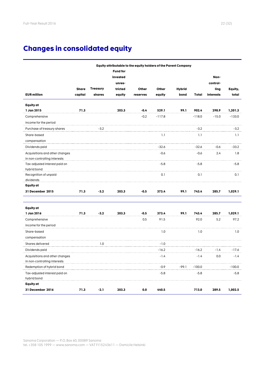# **Changes in consolidated equity**

|                                |              |                 | Equity attributable to the equity holders of the Parent Company |          |          |               |              |           |          |
|--------------------------------|--------------|-----------------|-----------------------------------------------------------------|----------|----------|---------------|--------------|-----------|----------|
|                                |              |                 | <b>Fund for</b>                                                 |          |          |               |              |           |          |
|                                |              |                 | invested                                                        |          |          |               |              | Non-      |          |
|                                |              |                 | unres-                                                          |          |          |               |              | control-  |          |
|                                | <b>Share</b> | <b>Treasury</b> | tricted                                                         | Other    | Other    | <b>Hybrid</b> |              | ling      | Equity,  |
| <b>EUR million</b>             | capital      | shares          | equity                                                          | reserves | equity   | bond          | <b>Total</b> | interests | total    |
| <b>Equity</b> at               |              |                 |                                                                 |          |          |               |              |           |          |
| 1 Jan 2015                     | 71.3         |                 | 203.3                                                           | $-0.4$   | 529.1    | 99.1          | 902.4        | 298.9     | 1,201.3  |
| Comprehensive                  |              |                 |                                                                 | $-0.2$   | $-117.8$ |               | $-118.0$     | $-15.0$   | $-133.0$ |
| income for the period          |              |                 |                                                                 |          |          |               |              |           |          |
| Purchase of treasury shares    |              | $-3.2$          |                                                                 |          |          |               | $-3.2$       |           | $-3.2$   |
| Share-based                    |              |                 |                                                                 |          | 1.1      |               | 1.1          |           | 1.1      |
| compensation                   |              |                 |                                                                 |          |          |               |              |           |          |
| Dividends paid                 |              |                 |                                                                 |          | $-32.6$  |               | $-32.6$      | -0.6      | $-33.2$  |
| Acquisitions and other changes |              |                 |                                                                 |          | $-0.6$   |               | $-0.6$       | 2.4       | 1.8      |
| in non-controlling interests   |              |                 |                                                                 |          |          |               |              |           |          |
| Tax-adjusted interest paid on  |              |                 |                                                                 |          | $-5.8$   |               | $-5.8$       |           | $-5.8$   |
| hybrid bond                    |              |                 |                                                                 |          |          |               |              |           |          |
| Recognition of unpaid          |              |                 |                                                                 |          | 0.1      |               | 0.1          |           | 0.1      |
| dividends                      |              |                 |                                                                 |          |          |               |              |           |          |
| <b>Equity at</b>               |              |                 |                                                                 |          |          |               |              |           |          |
| 31 December 2015               | 71.3         | $-3.2$          | 203.3                                                           | $-0.5$   | 373.4    | 99.1          | 743.4        | 285.7     | 1,029.1  |
| <b>Equity</b> at               |              |                 |                                                                 |          |          |               |              |           |          |
| 1 Jan 2016                     | 71.3         | $-3.2$          | 203.3                                                           | $-0.5$   | 373.4    | 99.1          | 743.4        | 285.7     | 1,029.1  |
| Comprehensive                  |              |                 |                                                                 | 0.5      | 91.5     |               | 92.0         | 5.2       | 97.2     |
| income for the period          |              |                 |                                                                 |          |          |               |              |           |          |
| Share-based                    |              |                 |                                                                 |          | 1.0      |               | 1.0          |           | 1.0      |
| compensation                   |              |                 |                                                                 |          |          |               |              |           |          |
| Shares delivered               |              | 1.0             |                                                                 |          | $-1.0$   |               |              |           |          |
| Dividends paid                 |              |                 |                                                                 |          | $-16.2$  |               | $-16.2$      | -1.4      | -17.6    |
| Acauisitions and other changes |              |                 |                                                                 |          | $-1.4$   |               | $-1.4$       | 0.0       | $-1.4$   |
| in non-controlling interests   |              |                 |                                                                 |          |          |               |              |           |          |
| Redemption of hybrid bond      |              |                 |                                                                 |          | -0.9     | -99.1         | -100.0       |           | -100.0   |
| Tax-adjusted interest paid on  |              |                 |                                                                 |          | $-5.8$   |               | $-5.8$       |           | -5.8     |
| hybrid bond                    |              |                 |                                                                 |          |          |               |              |           |          |
| <b>Equity</b> at               |              |                 |                                                                 |          |          |               |              |           |          |
| 31 December 2016               | 71.3         | $-2.1$          | 203.3                                                           | 0.0      | 440.5    |               | 713.0        | 289.5     | 1,002.5  |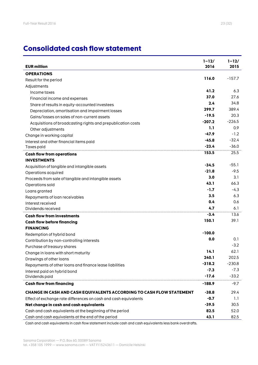# **Consolidated cash flow statement**

| <b>EUR million</b>                                                   | $1 - 12/$<br>2016 | $1 - 12/$<br>2015 |
|----------------------------------------------------------------------|-------------------|-------------------|
| <b>OPERATIONS</b>                                                    |                   |                   |
| Result for the period                                                | 116.0             | $-157.7$          |
| Adjustments                                                          |                   |                   |
| Income taxes                                                         | 41.2              | 6.3               |
| Financial income and expenses                                        | 37.0              | 27.6              |
| Share of results in equity-accounted investees                       | 2.4               | 34.8              |
| Depreciation, amortisation and impairment losses                     | 299.7             | 389.4             |
| Gains/losses on sales of non-current assets                          | $-19.5$           | 20.3              |
| Acquisitions of broadcasting rights and prepublication costs         | $-207.2$          | $-226.5$          |
| Other adjustments                                                    | 1.1               | 0.9               |
| Change in working capital                                            | $-47.9$           | $-1.2$            |
| Interest and other financial items paid                              | $-45.8$           | $-32.4$           |
| Taxes paid                                                           | $-23.4$           | $-36.0$           |
| <b>Cash flow from operations</b>                                     | 153.5             | 25.5              |
| <b>INVESTMENTS</b>                                                   |                   |                   |
| Acquisition of tangible and intangible assets                        | $-34.5$           | $-55.1$           |
| Operations acquired                                                  | $-21.8$           | $-9.5$            |
| Proceeds from sale of tangible and intangible assets                 | 3.0               | 3.1               |
| Operations sold                                                      | 43.1              | 66.3              |
| Loans granted                                                        | $-1.7$            | $-4.3$            |
| Repayments of loan receivables                                       | 3.5               | 6.3               |
| Interest received                                                    | 0.4               | 0.6               |
| Dividends received                                                   | 4.7               | 6.1               |
| <b>Cash flow from investments</b>                                    | $-3.4$            | 13.6              |
| <b>Cash flow before financing</b>                                    | 150.1             | 39.1              |
| <b>FINANCING</b>                                                     |                   |                   |
| Redemption of hybrid bond                                            | $-100.0$          |                   |
| Contribution by non-controlling interests                            | 0.0               | 0.1               |
| Purchase of treasury shares                                          |                   | $-3.2$            |
| Change in loans with short maturity                                  | 14.1              | 62.1              |
| Drawings of other loans                                              | 240.1             | 202.5             |
| Repayments of other loans and finance lease liabilities              | $-318.2$          | $-230.8$          |
| Interest paid on hybrid bond                                         | $-7.3$            | $-7.3$            |
| Dividends paid                                                       | $-17.6$           | $-33.2$           |
| <b>Cash flow from financing</b>                                      | $-188.9$          | $-9.7$            |
| CHANGE IN CASH AND CASH EQUIVALENTS ACCORDING TO CASH FLOW STATEMENT | $-38.8$           | 29.4              |
| Effect of exchange rate differences on cash and cash equivalents     | $-0.7$            | 1.1               |
| Net change in cash and cash equivalents                              | $-39.5$           | 30.5              |
| Cash and cash equivalents at the beginning of the period             | 82.5              | 52.0              |
| Cash and cash equivalents at the end of the period                   | 43.1              | 82.5              |

Cash and cash equivalents in cash flow statement include cash and cash equivalents less bank overdrafts.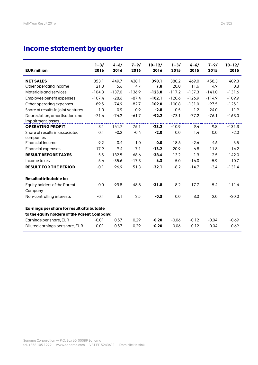# **Income statement by quarter**

| <b>EUR million</b>                                  | $1 - 3/$<br>2016 | $4 - 6/$<br>2016 | $7 - 9/$<br>2016 | $10 - 12/$<br>2016 | $1 - 3/$<br>2015 | $4 - 6/$<br>2015 | $7 - 9/$<br>2015 | $10 - 12/$<br>2015 |
|-----------------------------------------------------|------------------|------------------|------------------|--------------------|------------------|------------------|------------------|--------------------|
| <b>NET SALES</b>                                    | 353.1            | 449.7            | 438.1            | 398.1              | 380.2            | 469.0            | 458.3            | 409.3              |
| Other operating income                              | 21.8             | 5.6              | 4.7              | 7.8                | 20.0             | 11.6             | 4.9              | 0.8                |
| Materials and services                              | $-104.3$         | $-137.0$         | $-136.9$         | $-123.0$           | $-117.2$         | $-137.3$         | $-141.0$         | $-131.6$           |
| Employee benefit expenses                           | $-107.4$         | $-28.6$          | $-87.4$          | $-102.1$           | $-120.6$         | $-126.9$         | $-114.9$         | $-109.9$           |
| Other operating expenses                            | $-89.5$          | $-74.9$          | $-82.7$          | $-109.0$           | $-100.8$         | $-131.0$         | $-97.5$          | $-125.1$           |
| Share of results in joint ventures                  | 1.0              | 0.9              | 0.9              | $-2.8$             | 0.5              | 1.2              | $-24.0$          | $-11.9$            |
| Depreciation, amortisation and<br>impairment losses | $-71.6$          | $-74.2$          | $-61.7$          | $-92.2$            | $-73.1$          | $-77.2$          | $-76.1$          | $-163.0$           |
| <b>OPERATING PROFIT</b>                             | 3.1              | 141.7            | 75.1             | $-23.2$            | $-10.9$          | 9.4              | 9.8              | $-131.3$           |
| Share of results in associated                      | 0.1              | $-0.2$           | $-0.4$           | $-2.0$             | 0.0              | 1.4              | 0.0              | $-2.0$             |
| companies                                           |                  |                  |                  |                    |                  |                  |                  |                    |
| Financial income                                    | 9.2              | 0.4              | 1.0              | 0.0                | 18.6             | $-2.6$           | 4.6              | 5.5                |
| <b>Financial expenses</b>                           | $-17.9$          | $-9.4$           | $-7.1$           | $-13.2$            | $-20.9$          | $-6.8$           | $-11.8$          | $-14.2$            |
| <b>RESULT BEFORE TAXES</b>                          | $-5.5$           | 132.5            | 68.6             | $-38.4$            | $-13.2$          | 1.3              | 2.5              | $-142.0$           |
| Income taxes                                        | 5.4              | $-35.6$          | $-17.3$          | 6.3                | 5.0              | $-16.0$          | $-5.9$           | 10.7               |
| <b>RESULT FOR THE PERIOD</b>                        | $-0.1$           | 96.9             | 51.3             | $-32.1$            | $-8.2$           | $-14.7$          | $-3.4$           | $-131.4$           |
| <b>Result attributable to:</b>                      |                  |                  |                  |                    |                  |                  |                  |                    |
| Equity holders of the Parent                        | 0.0              | 93.8             | 48.8             | $-31.8$            | $-8.2$           | $-17.7$          | $-5.4$           | $-111.4$           |
| Company                                             |                  |                  |                  |                    |                  |                  |                  |                    |
| Non-controlling interests                           | $-0.1$           | 3.1              | 2.5              | $-0.3$             | 0.0              | 3.0              | 2.0              | $-20.0$            |
| Earnings per share for result attributable          |                  |                  |                  |                    |                  |                  |                  |                    |
| to the equity holders of the Parent Company:        |                  |                  |                  |                    |                  |                  |                  |                    |
| Earnings per share, EUR                             | $-0.01$          | 0.57             | 0.29             | $-0.20$            | $-0.06$          | $-0.12$          | $-0.04$          | $-0.69$            |
| Diluted earnings per share, EUR                     | $-0.01$          | 0.57             | 0.29             | $-0.20$            | $-0.06$          | $-0.12$          | $-0.04$          | $-0.69$            |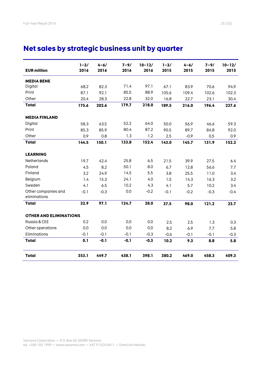# **Net sales by strategic business unit by quarter**

| <b>EUR million</b>                  | $1 - 3/$<br>2016 | $4 - 6/$<br>2016 | $7 - 9/$<br>2016 | $10 - 12/$<br>2016 | $1 - 3/$<br>2015 | $4 - 6/$<br>2015 | $7 - 9/$<br>2015 | $10 - 12/$<br>2015 |
|-------------------------------------|------------------|------------------|------------------|--------------------|------------------|------------------|------------------|--------------------|
| <b>MEDIA BENE</b>                   |                  |                  |                  |                    |                  |                  |                  |                    |
| Digital                             | 68.2             | 82.3             | 71.4             | 97.1               | 67.1             | 83.9             | 70.6             | 94.9               |
| Print                               | 87.1             | 92.1             | 85.5             | 88.9               | 105.6            | 109.4            | 102.6            | 102.3              |
| Other                               | 20.4             | 28.3             | 22.8             | 32.0               | 16.8             | 22.7             | 23.1             | 30.4               |
| <b>Total</b>                        | 175.6            | 202.6            | 179.7            | 218.0              | 189.5            | 216.0            | 196.4            | 227.6              |
| <b>MEDIA FINLAND</b>                |                  |                  |                  |                    |                  |                  |                  |                    |
| Digital                             | 58.3             | 63.5             | 52.2             | 64.0               | 50.0             | 56.9             | 46.6             | 59.3               |
| Print                               | 85.3             | 85.9             | 80.4             | 87.2               | 90.5             | 89.7             | 84.8             | 92.0               |
| Other                               | 0.9              | 0.8              | 1.3              | 1.2                | 2.5              | $-0.9$           | 0.5              | 0.9                |
| <b>Total</b>                        | 144.5            | 150.1            | 133.8            | 152.4              | 143.0            | 145.7            | 131.9            | 152.2              |
| <b>LEARNING</b>                     |                  |                  |                  |                    |                  |                  |                  |                    |
| Netherlands                         | 19.7             | 42.4             | 25.8             | 6.5                | 21.5             | 39.9             | 27.5             | 6.4                |
| Poland                              | 4.5              | 8.2              | 50.1             | 8.0                | 6.7              | 12.8             | 56.6             | 7.7                |
| Finland                             | 3.2              | 24.9             | 14.5             | 5.5                | 3.8              | 25.5             | 11.0             | 3.4                |
| Belgium                             | 1.4              | 15.3             | 24.1             | 4.0                | 1.5              | 14.3             | 16.3             | 3.2                |
| Sweden                              | 4.1              | 6.5              | 10.2             | 4.3                | 4.1              | 5.7              | 10.2             | 3.4                |
| Other companies and<br>eliminations | $-0.1$           | $-0.3$           | 0.0              | $-0.2$             | $-0.1$           | $-0.2$           | $-0.3$           | $-0.4$             |
| <b>Total</b>                        | 32.9             | 97.1             | 124.7            | 28.0               | 37.5             | 98.0             | 121.2            | 23.7               |
| <b>OTHER AND ELIMINATIONS</b>       |                  |                  |                  |                    |                  |                  |                  |                    |
| Russia & CEE                        | 0.2              | 0.0              | 0.0              | 0.0                | 2.5              | 2.5              | 1.3              | 0.3                |
| Other operations                    | 0.0              | 0.0              | 0.0              | 0.0                | 8.2              | 6.9              | 7.7              | 5.8                |
| Eliminations                        | $-0.1$           | $-0.1$           | $-0.1$           | $-0.3$             | $-0.6$           | $-0.1$           | $-0.1$           | $-0.3$             |
| <b>Total</b>                        | 0.1              | $-0.1$           | $-0.1$           | $-0.3$             | 10.2             | 9.3              | 8.8              | 5.8                |
| <b>Total</b>                        | 353.1            | 449.7            | 438.1            | 398.1              | 380.2            | 469.0            | 458.3            | 409.3              |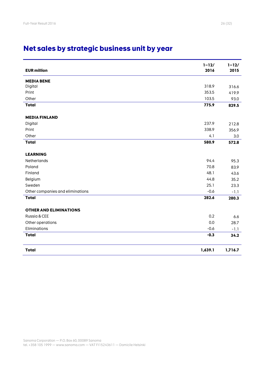# **Net sales by strategic business unit by year**

| <b>EUR million</b>               | $1 - 12/$<br>2016 | $1 - 12/$<br>2015 |
|----------------------------------|-------------------|-------------------|
| <b>MEDIA BENE</b>                |                   |                   |
| Digital                          | 318.9             | 316.6             |
| Print                            | 353.5             | 419.9             |
| Other                            | 103.5             | 93.0              |
| <b>Total</b>                     | 775.9             | 829.5             |
| <b>MEDIA FINLAND</b>             |                   |                   |
| Digital                          | 237.9             | 212.8             |
| Print                            | 338.9             | 356.9             |
| Other                            | 4.1               | 3.0               |
| <b>Total</b>                     | 580.9             | 572.8             |
| <b>LEARNING</b>                  |                   |                   |
| Netherlands                      | 94.4              | 95.3              |
| Poland                           | 70.8              | 83.9              |
| Finland                          | 48.1              | 43.6              |
| Belgium                          | 44.8              | 35.2              |
| Sweden                           | 25.1              | 23.3              |
| Other companies and eliminations | $-0.6$            | $-1.1$            |
| <b>Total</b>                     | 282.6             | 280.3             |
| <b>OTHER AND ELIMINATIONS</b>    |                   |                   |
| Russia & CEE                     | 0.2               | 6.6               |
| Other operations                 | 0.0               | 28.7              |
| Eliminations                     | $-0.6$            | $-1.1$            |
| <b>Total</b>                     | $-0.3$            | 34.2              |
| <b>Total</b>                     | 1,639.1           | 1,716.7           |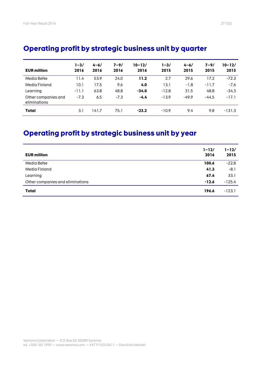| <b>EUR million</b>                  | $1 - 3/$<br>2016 | $4 - 6/$<br>2016 | $7 - 9/$<br>2016 | $10 - 12/$<br>2016 | $1 - 3/$<br>2015 | $4 - 6/$<br>2015 | $7 - 9/$<br>2015 | $10 - 12/$<br>2015 |
|-------------------------------------|------------------|------------------|------------------|--------------------|------------------|------------------|------------------|--------------------|
| Media BeNe                          | l 1.4            | 53.9             | 24.0             | 11.2               | 2.7              | 29.6             | 17.2             | $-72.3$            |
| Media Finland                       | 10.1             | 17.5             | 9.6              | 4.0                | 13.1             | $-1.8$           | $-11.7$          | $-7.6$             |
| Learning                            | $-11.1$          | 63.8             | 48.8             | $-34.0$            | $-12.8$          | 31.5             | 48.8             | $-34.3$            |
| Other companies and<br>eliminations | $-7.3$           | 6.5              | $-7.3$           | $-4.4$             | $-13.9$          | $-49.9$          | $-44.5$          | $-17.1$            |
| <b>Total</b>                        | 3.1              | 141.7            | 75.1             | $-23.2$            | $-10.9$          | 9.4              | 9.8              | $-131.3$           |

# **Operating profit by strategic business unit by quarter**

# **Operating profit by strategic business unit by year**

| <b>EUR million</b>               | $1 - 12/$<br>2016 | $1 - 12/$<br>2015 |
|----------------------------------|-------------------|-------------------|
| Media BeNe                       | 100.6             | $-22.8$           |
| Media Finland                    | 41.3              | $-8.1$            |
| Learning                         | 67.4              | 33.1              |
| Other companies and eliminations | $-12.6$           | $-125.4$          |
| <b>Total</b>                     | 196.6             | $-123.1$          |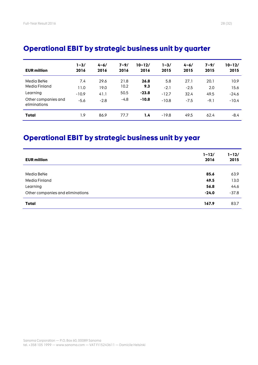| <b>EUR million</b>                  | $1 - 3/$<br>2016 | $4 - 6/$<br>2016 | $7 - 9/$<br>2016 | $10 - 12/$<br>2016 | 1-3/<br>2015 | $4 - 6/$<br>2015 | $7 - 9/$<br>2015 | $10 - 12/$<br>2015 |
|-------------------------------------|------------------|------------------|------------------|--------------------|--------------|------------------|------------------|--------------------|
| Media BeNe                          | 7.4              | 29.6             | 21.8             | 26.8               | 5.8          | 27.1             | 20.1             | 10.9               |
| Media Finland                       | 11.0             | 19.0             | 10.2             | 9.3                | $-2.1$       | $-2.5$           | 2.0              | 15.6               |
| Learning                            | $-10.9$          | 41.1             | 50.5             | $-23.8$            | $-12.7$      | 32.4             | 49.5             | $-24.6$            |
| Other companies and<br>eliminations | $-5.6$           | $-2.8$           | $-4.8$           | $-10.8$            | $-10.8$      | $-7.5$           | $-9.1$           | $-10.4$            |
| <b>Total</b>                        | 1.9              | 86.9             | 77.7             | 1.4                | $-19.8$      | 49.5             | 62.4             | -8.4               |

# **Operational EBIT by strategic business unit by quarter**

# **Operational EBIT by strategic business unit by year**

| <b>EUR million</b>               | $1 - 12/$<br>2016 | $1 - 12/$<br>2015 |
|----------------------------------|-------------------|-------------------|
|                                  |                   |                   |
| Media BeNe                       | 85.6              | 63.9              |
| Media Finland                    | 49.5              | 13.0              |
| Learning                         | 56.8              | 44.6              |
| Other companies and eliminations | $-24.0$           | $-37.8$           |
| <b>Total</b>                     | 167.9             | 83.7              |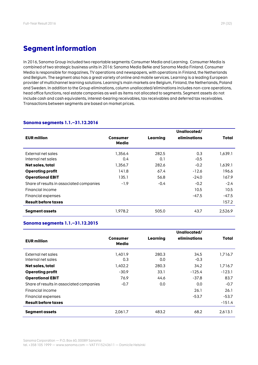In 2016, Sanoma Group included two reportable segments: Consumer Media and Learning. Consumer Media is combined of two strategic business units in 2016: Sanoma Media BeNe and Sanoma Media Finland. Consumer Media is responsible for magazines, TV operations and newspapers, with operations in Finland, the Netherlands and Belgium. The segment also has a great variety of online and mobile services. Learning is a leading European provider of multichannel learning solutions. Learning's main markets are Belgium, Finland, the Netherlands, Poland and Sweden. In addition to the Group eliminations, column unallocated/eliminations includes non-core operations, head office functions, real estate companies as well as items not allocated to segments. Segment assets do not include cash and cash equivalents, interest-bearing receivables, tax receivables and deferred tax receivables. Transactions between segments are based on market prices.

|                                          |                   |          | Unallocated/ |         |
|------------------------------------------|-------------------|----------|--------------|---------|
| <b>EUR million</b>                       | Consumer<br>Media | Learning | eliminations | Total   |
| External net sales                       | 1.356.4           | 282.5    | 0.3          | 1,639.1 |
| Internal net sales                       | 0.4               | 0.1      | $-0.5$       |         |
| Net sales, total                         | 1,356.7           | 282.6    | $-0.2$       | 1,639.1 |
| <b>Operating profit</b>                  | 141.8             | 67.4     | $-12.6$      | 196.6   |
| <b>Operational EBIT</b>                  | 135.1             | 56.8     | $-24.0$      | 167.9   |
| Share of results in associated companies | $-1.9$            | $-0.4$   | $-0.2$       | $-2.4$  |
| Financial income                         |                   |          | 10.5         | 10.5    |
| Financial expenses                       |                   |          | -47.5        | -47.5   |
| <b>Result before taxes</b>               |                   |          |              | 157.2   |
| Segment assets                           | 1.978.2           | 505.0    | 43.7         | 2.526.9 |

# **Sanoma segments 1.1.–31.12.2016**

# **Sanoma segments 1.1.–31.12.2015**

|                                          |                   |              | Unallocated/   |          |
|------------------------------------------|-------------------|--------------|----------------|----------|
| <b>EUR million</b>                       | Consumer<br>Media | Learning     | eliminations   | Total    |
| External net sales<br>Internal net sales | 1.401.9<br>0.3    | 280.3<br>0.0 | 34.5<br>$-0.3$ | 1,716.7  |
| Net sales, total                         | 1,402.2           | 280.3        | 34.2           | 1,716.7  |
| <b>Operating profit</b>                  | $-30.9$           | 33.1         | $-125.4$       | $-123.1$ |
| <b>Operational EBIT</b>                  | 76.9              | 44.6         | $-37.8$        | 83.7     |
| Share of results in associated companies | $-0.7$            | 0.0          | 0.0            | $-0.7$   |
| Financial income                         |                   |              | 26.1           | 26.1     |
| Financial expenses                       |                   |              | $-53.7$        | $-53.7$  |
| <b>Result before taxes</b>               |                   |              |                | $-151.4$ |
| Segment assets                           | 2,061.7           | 483.2        | 68.2           | 2,613.1  |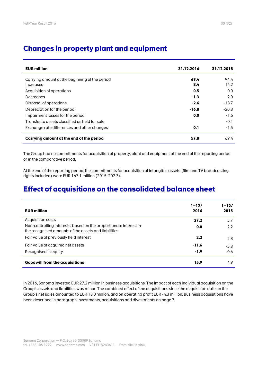| <b>EUR million</b>                             | 31.12.2016 | 31.12.2015 |
|------------------------------------------------|------------|------------|
| Carrying amount at the beginning of the period | 69.4       | 94.4       |
| Increases                                      | 8.4        | 14.2       |
| Acquisition of operations                      | 0.5        | 0.0        |
| Decreases                                      | $-1.3$     | $-2.0$     |
| Disposal of operations                         | $-2.6$     | $-13.7$    |
| Depreciation for the period                    | $-16.8$    | $-20.3$    |
| Impairment losses for the period               | 0.0        | $-1.6$     |
| Transfer to assets classified as held for sale |            | $-0.1$     |
| Exchange rate differences and other changes    | 0.1        | $-1.5$     |
| Carrying amount at the end of the period       | 57.8       | 69.4       |

# **Changes in property plant and equipment**

The Group had no commitments for acquisition of property, plant and equipment at the end of the reporting period or in the comparative period.

At the end of the reporting period, the commitments for acquisition of intangible assets (film and TV broadcasting rights included) were EUR 167.1 million (2015: 202.3).

# **Effect of acquisitions on the consolidated balance sheet**

| <b>EUR million</b>                                                                                                        | $1 - 12/$<br>2016 | $1 - 12/$<br>2015 |
|---------------------------------------------------------------------------------------------------------------------------|-------------------|-------------------|
| Acquisition costs                                                                                                         | 27.2              | 5.7               |
| Non-controlling interests, based on the proportionate interest in<br>the recognised amounts of the assets and liabilities | 0.0               | 2.2               |
| Fair value of previously held interest                                                                                    | 2.2               | 2.8               |
| Fair value of acquired net assets                                                                                         | $-11.6$           | $-5.3$            |
| Recognised in equity                                                                                                      | $-1.9$            | $-0.6$            |
| <b>Goodwill from the acquisitions</b>                                                                                     | 15.9              | 4.9               |

In 2016, Sanoma invested EUR 27.2 million in business acquisitions. The impact of each individual acquisition on the Group's assets and liabilities was minor. The combined effect of the acquisitions since the acquisition date on the Group's net sales amounted to EUR 13.0 million, and on operating profit EUR -4.3 million. Business acquisitions have been described in paragraph Investments, acquisitions and divestments on page 7.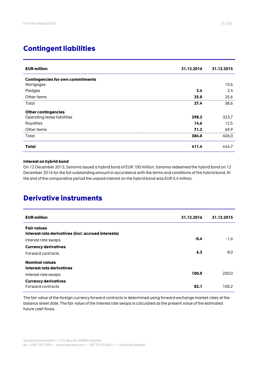# **Contingent liabilities**

| <b>EUR million</b>                       | 31.12.2016 | 31.12.2015 |
|------------------------------------------|------------|------------|
| <b>Contingencies for own commitments</b> |            |            |
| Mortgages                                |            | 10.6       |
| Pledges                                  | 2.4        | 2.4        |
| Other items                              | 25.0       | 25.6       |
| Total                                    | 27.4       | 38.6       |
| <b>Other contingencies</b>               |            |            |
| Operating lease liabilities              | 298.2      | 323.7      |
| Royalties                                | 14.6       | 12.5       |
| Other items                              | 71.2       | 69.9       |
| Total                                    | 384.0      | 406.0      |
| Total                                    | 411.4      | 444.7      |

### **Interest on hybrid bond**

On 12 December 2013, Sanoma issued a hybrid bond of EUR 100 million. Sanoma redeemed the hybrid bond on 12 December 2016 for the full outstanding amount in accordance with the terms and conditions of the hybrid bond. At the end of the comparative period the unpaid interest on the hybrid bond was EUR 0.4 million.

# **Derivative instruments**

| <b>EUR million</b>                                                        | 31.12.2016 | 31.12.2015 |
|---------------------------------------------------------------------------|------------|------------|
| <b>Fair values</b><br>Interest rate derivatives (incl. accrued interests) |            |            |
| Interest rate swaps                                                       | $-0.4$     | $-1.6$     |
| <b>Currency derivatives</b>                                               |            |            |
| Forward contracts                                                         | 6.3        | 8.0        |
| <b>Nominal values</b><br>Interest rate derivatives                        |            |            |
| Interest rate swaps                                                       | 100.0      | 200.0      |
| <b>Currency derivatives</b><br>Forward contracts                          | 82.1       | 100.2      |

The fair value of the foreign currency forward contracts is determined using forward exchange market rates at the balance sheet date. The fair value of the interest rate swaps is calculated as the present value of the estimated future cash flows.